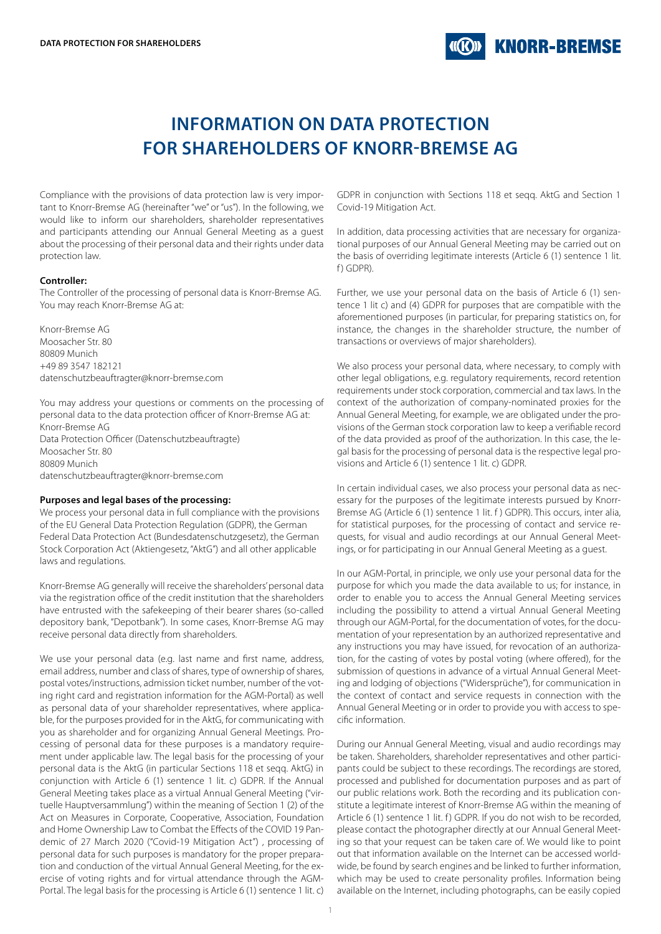

# **INFORMATION ON DATA PROTECTION FOR SHAREHOLDERS OF KNORR-BREMSE AG**

Compliance with the provisions of data protection law is very important to Knorr-Bremse AG (hereinafter "we" or "us"). In the following, we would like to inform our shareholders, shareholder representatives and participants attending our Annual General Meeting as a guest about the processing of their personal data and their rights under data protection law.

### **Controller:**

The Controller of the processing of personal data is Knorr-Bremse AG. You may reach Knorr-Bremse AG at:

Knorr-Bremse AG Moosacher Str. 80 80809 Munich +49 89 3547 182121 datenschutzbeauftragter@knorr-bremse.com

You may address your questions or comments on the processing of personal data to the data protection officer of Knorr-Bremse AG at: Knorr-Bremse AG Data Protection Officer (Datenschutzbeauftragte) Moosacher Str. 80 80809 Munich datenschutzbeauftragter@knorr-bremse.com

#### **Purposes and legal bases of the processing:**

We process your personal data in full compliance with the provisions of the EU General Data Protection Regulation (GDPR), the German Federal Data Protection Act (Bundesdatenschutzgesetz), the German Stock Corporation Act (Aktiengesetz, "AktG") and all other applicable laws and regulations.

Knorr-Bremse AG generally will receive the shareholders' personal data via the registration office of the credit institution that the shareholders have entrusted with the safekeeping of their bearer shares (so-called depository bank, "Depotbank"). In some cases, Knorr-Bremse AG may receive personal data directly from shareholders.

We use your personal data (e.g. last name and first name, address, email address, number and class of shares, type of ownership of shares, postal votes/instructions, admission ticket number, number of the voting right card and registration information for the AGM-Portal) as well as personal data of your shareholder representatives, where applicable, for the purposes provided for in the AktG, for communicating with you as shareholder and for organizing Annual General Meetings. Processing of personal data for these purposes is a mandatory requirement under applicable law. The legal basis for the processing of your personal data is the AktG (in particular Sections 118 et seqq. AktG) in conjunction with Article 6 (1) sentence 1 lit. c) GDPR. If the Annual General Meeting takes place as a virtual Annual General Meeting ("virtuelle Hauptversammlung") within the meaning of Section 1 (2) of the Act on Measures in Corporate, Cooperative, Association, Foundation and Home Ownership Law to Combat the Effects of the COVID 19 Pandemic of 27 March 2020 ("Covid-19 Mitigation Act") , processing of personal data for such purposes is mandatory for the proper preparation and conduction of the virtual Annual General Meeting, for the exercise of voting rights and for virtual attendance through the AGM-Portal. The legal basis for the processing is Article 6 (1) sentence 1 lit. c)

GDPR in conjunction with Sections 118 et seqq. AktG and Section 1 Covid-19 Mitigation Act.

In addition, data processing activities that are necessary for organizational purposes of our Annual General Meeting may be carried out on the basis of overriding legitimate interests (Article 6 (1) sentence 1 lit. f) GDPR).

Further, we use your personal data on the basis of Article 6 (1) sentence 1 lit c) and (4) GDPR for purposes that are compatible with the aforementioned purposes (in particular, for preparing statistics on, for instance, the changes in the shareholder structure, the number of transactions or overviews of major shareholders).

We also process your personal data, where necessary, to comply with other legal obligations, e.g. regulatory requirements, record retention requirements under stock corporation, commercial and tax laws. In the context of the authorization of company-nominated proxies for the Annual General Meeting, for example, we are obligated under the provisions of the German stock corporation law to keep a verifiable record of the data provided as proof of the authorization. In this case, the legal basis for the processing of personal data is the respective legal provisions and Article 6 (1) sentence 1 lit. c) GDPR.

In certain individual cases, we also process your personal data as necessary for the purposes of the legitimate interests pursued by Knorr-Bremse AG (Article 6 (1) sentence 1 lit. f ) GDPR). This occurs, inter alia, for statistical purposes, for the processing of contact and service requests, for visual and audio recordings at our Annual General Meetings, or for participating in our Annual General Meeting as a guest.

In our AGM-Portal, in principle, we only use your personal data for the purpose for which you made the data available to us; for instance, in order to enable you to access the Annual General Meeting services including the possibility to attend a virtual Annual General Meeting through our AGM-Portal, for the documentation of votes, for the documentation of your representation by an authorized representative and any instructions you may have issued, for revocation of an authorization, for the casting of votes by postal voting (where offered), for the submission of questions in advance of a virtual Annual General Meeting and lodging of objections ("Widersprüche"), for communication in the context of contact and service requests in connection with the Annual General Meeting or in order to provide you with access to specific information.

During our Annual General Meeting, visual and audio recordings may be taken. Shareholders, shareholder representatives and other participants could be subject to these recordings. The recordings are stored, processed and published for documentation purposes and as part of our public relations work. Both the recording and its publication constitute a legitimate interest of Knorr-Bremse AG within the meaning of Article 6 (1) sentence 1 lit. f) GDPR. If you do not wish to be recorded, please contact the photographer directly at our Annual General Meeting so that your request can be taken care of. We would like to point out that information available on the Internet can be accessed worldwide, be found by search engines and be linked to further information, which may be used to create personality profiles. Information being available on the Internet, including photographs, can be easily copied